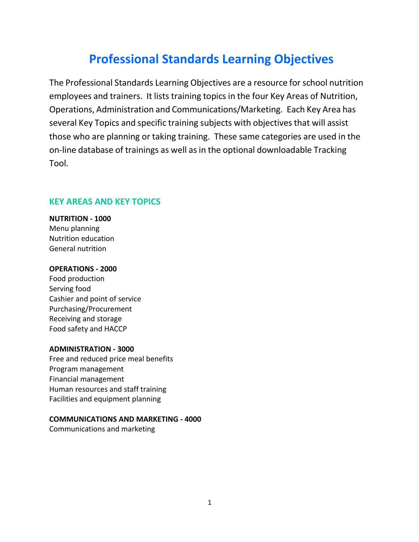# **Professional Standards Learning Objectives**

The Professional Standards Learning Objectives are a resource for school nutrition employees and trainers. It lists training topics in the four Key Areas of Nutrition, Operations, Administration and Communications/Marketing. Each Key Area has several Key Topics and specific training subjects with objectives that will assist those who are planning or taking training. These same categories are used in the on-line database of trainings as well asin the optional downloadable Tracking Tool.

#### **KEY AREAS AND KEY TOPICS**

**NUTRITION - 1000** Menu planning Nutrition education General nutrition

#### **OPERATIONS - 2000**

Food production Serving food Cashier and point of service Purchasing/Procurement Receiving and storage Food safety and HACCP

#### **ADMINISTRATION - 3000**

Free and reduced price meal benefits Program management Financial management Human resources and staff training Facilities and equipment planning

#### **COMMUNICATIONS AND MARKETING - 4000**

Communications and marketing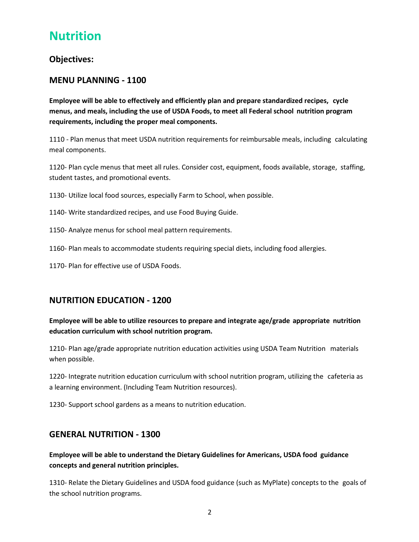# **Nutrition**

## **Objectives:**

## **MENU PLANNING - 1100**

**Employee will be able to effectively and efficiently plan and prepare standardized recipes, cycle menus, and meals, including the use of USDA Foods, to meet all Federal school nutrition program requirements, including the proper meal components.**

1110 - Plan menus that meet USDA nutrition requirements for reimbursable meals, including calculating meal components.

1120- Plan cycle menus that meet all rules. Consider cost, equipment, foods available, storage, staffing, student tastes, and promotional events.

1130- Utilize local food sources, especially Farm to School, when possible.

- 1140- Write standardized recipes, and use Food Buying Guide.
- 1150- Analyze menus for school meal pattern requirements.
- 1160- Plan meals to accommodate students requiring special diets, including food allergies.
- 1170- Plan for effective use of USDA Foods.

### **NUTRITION EDUCATION - 1200**

#### **Employee will be able to utilize resources to prepare and integrate age/grade appropriate nutrition education curriculum with school nutrition program.**

1210- Plan age/grade appropriate nutrition education activities using USDA Team Nutrition materials when possible.

1220- Integrate nutrition education curriculum with school nutrition program, utilizing the cafeteria as a learning environment. (Including Team Nutrition resources).

1230- Support school gardens as a means to nutrition education.

#### **GENERAL NUTRITION - 1300**

#### **Employee will be able to understand the Dietary Guidelines for Americans, USDA food guidance concepts and general nutrition principles.**

1310- Relate the Dietary Guidelines and USDA food guidance (such as MyPlate) concepts to the goals of the school nutrition programs.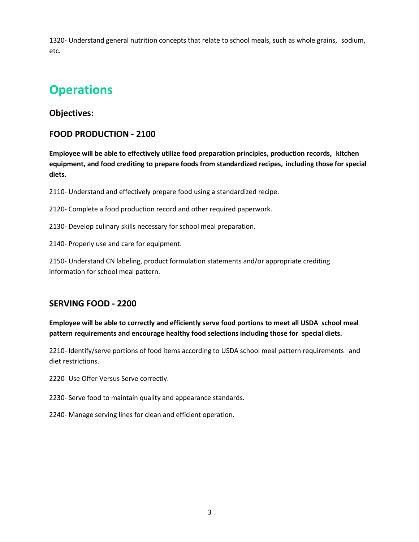1320- Understand general nutrition concepts that relate to school meals, such as whole grains, sodium, etc.

# **Operations**

## **Objectives:**

## **FOOD PRODUCTION - 2100**

**Employee will be able to effectively utilize food preparation principles, production records, kitchen equipment, and food crediting to prepare foods from standardized recipes, including those for special diets.**

2110- Understand and effectively prepare food using a standardized recipe.

2120- Complete a food production record and other required paperwork.

2130- Develop culinary skills necessary for school meal preparation.

2140- Properly use and care for equipment.

2150- Understand CN labeling, product formulation statements and/or appropriate crediting information for school meal pattern.

# **SERVING FOOD - 2200**

**Employee will be able to correctly and efficiently serve food portions to meet all USDA school meal pattern requirements and encourage healthy food selections including those for special diets.**

2210- Identify/serve portions of food items according to USDA school meal pattern requirements and diet restrictions.

2220- Use Offer Versus Serve correctly.

2230- Serve food to maintain quality and appearance standards.

2240- Manage serving lines for clean and efficient operation.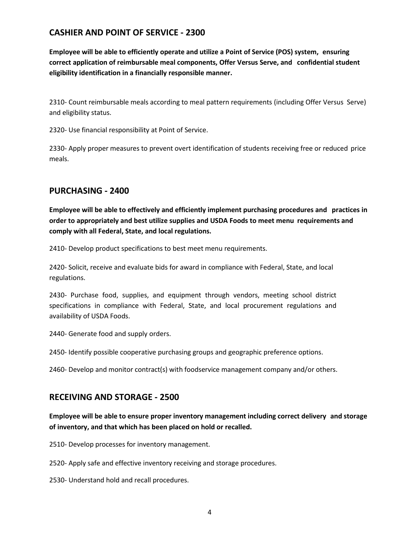## **CASHIER AND POINT OF SERVICE - 2300**

**Employee will be able to efficiently operate and utilize a Point of Service (POS) system, ensuring correct application of reimbursable meal components, Offer Versus Serve, and confidential student eligibility identification in a financially responsible manner.**

2310- Count reimbursable meals according to meal pattern requirements (including Offer Versus Serve) and eligibility status.

2320- Use financial responsibility at Point of Service.

2330- Apply proper measures to prevent overt identification of students receiving free or reduced price meals.

## **PURCHASING - 2400**

**Employee will be able to effectively and efficiently implement purchasing procedures and practices in order to appropriately and best utilize supplies and USDA Foods to meet menu requirements and comply with all Federal, State, and local regulations.**

2410- Develop product specifications to best meet menu requirements.

2420- Solicit, receive and evaluate bids for award in compliance with Federal, State, and local regulations.

2430- Purchase food, supplies, and equipment through vendors, meeting school district specifications in compliance with Federal, State, and local procurement regulations and availability of USDA Foods.

2440- Generate food and supply orders.

2450- Identify possible cooperative purchasing groups and geographic preference options.

2460- Develop and monitor contract(s) with foodservice management company and/or others.

### **RECEIVING AND STORAGE - 2500**

**Employee will be able to ensure proper inventory management including correct delivery and storage of inventory, and that which has been placed on hold or recalled.**

2510- Develop processes for inventory management.

2520- Apply safe and effective inventory receiving and storage procedures.

2530- Understand hold and recall procedures.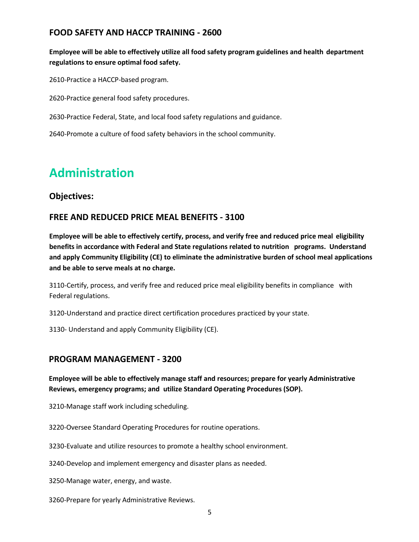## **FOOD SAFETY AND HACCP TRAINING - 2600**

**Employee will be able to effectively utilize all food safety program guidelines and health department regulations to ensure optimal food safety.**

2610-Practice a HACCP-based program.

2620-Practice general food safety procedures.

2630-Practice Federal, State, and local food safety regulations and guidance.

2640-Promote a culture of food safety behaviors in the school community.

# **Administration**

## **Objectives:**

## **FREE AND REDUCED PRICE MEAL BENEFITS - 3100**

**Employee will be able to effectively certify, process, and verify free and reduced price meal eligibility benefits in accordance with Federal and State regulations related to nutrition programs. Understand and apply Community Eligibility (CE) to eliminate the administrative burden of school meal applications and be able to serve meals at no charge.**

3110-Certify, process, and verify free and reduced price meal eligibility benefits in compliance with Federal regulations.

3120-Understand and practice direct certification procedures practiced by your state.

3130- Understand and apply Community Eligibility (CE).

#### **PROGRAM MANAGEMENT - 3200**

**Employee will be able to effectively manage staff and resources; prepare for yearly Administrative Reviews, emergency programs; and utilize Standard Operating Procedures (SOP).** 

3210-Manage staff work including scheduling.

3220-Oversee Standard Operating Procedures for routine operations.

3230-Evaluate and utilize resources to promote a healthy school environment.

3240-Develop and implement emergency and disaster plans as needed.

3250-Manage water, energy, and waste.

3260-Prepare for yearly Administrative Reviews.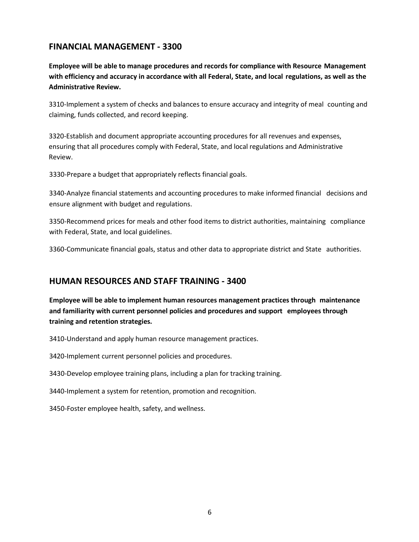## **FINANCIAL MANAGEMENT - 3300**

**Employee will be able to manage procedures and records for compliance with Resource Management with efficiency and accuracy in accordance with all Federal, State, and local regulations, as well as the Administrative Review.**

3310-Implement a system of checks and balances to ensure accuracy and integrity of meal counting and claiming, funds collected, and record keeping.

3320-Establish and document appropriate accounting procedures for all revenues and expenses, ensuring that all procedures comply with Federal, State, and local regulations and Administrative Review.

3330-Prepare a budget that appropriately reflects financial goals.

3340-Analyze financial statements and accounting procedures to make informed financial decisions and ensure alignment with budget and regulations.

3350-Recommend prices for meals and other food items to district authorities, maintaining compliance with Federal, State, and local guidelines.

3360-Communicate financial goals, status and other data to appropriate district and State authorities.

### **HUMAN RESOURCES AND STAFF TRAINING - 3400**

**Employee will be able to implement human resources management practices through maintenance and familiarity with current personnel policies and procedures and support employees through training and retention strategies.**

3410-Understand and apply human resource management practices.

3420-Implement current personnel policies and procedures.

3430-Develop employee training plans, including a plan for tracking training.

3440-Implement a system for retention, promotion and recognition.

3450-Foster employee health, safety, and wellness.